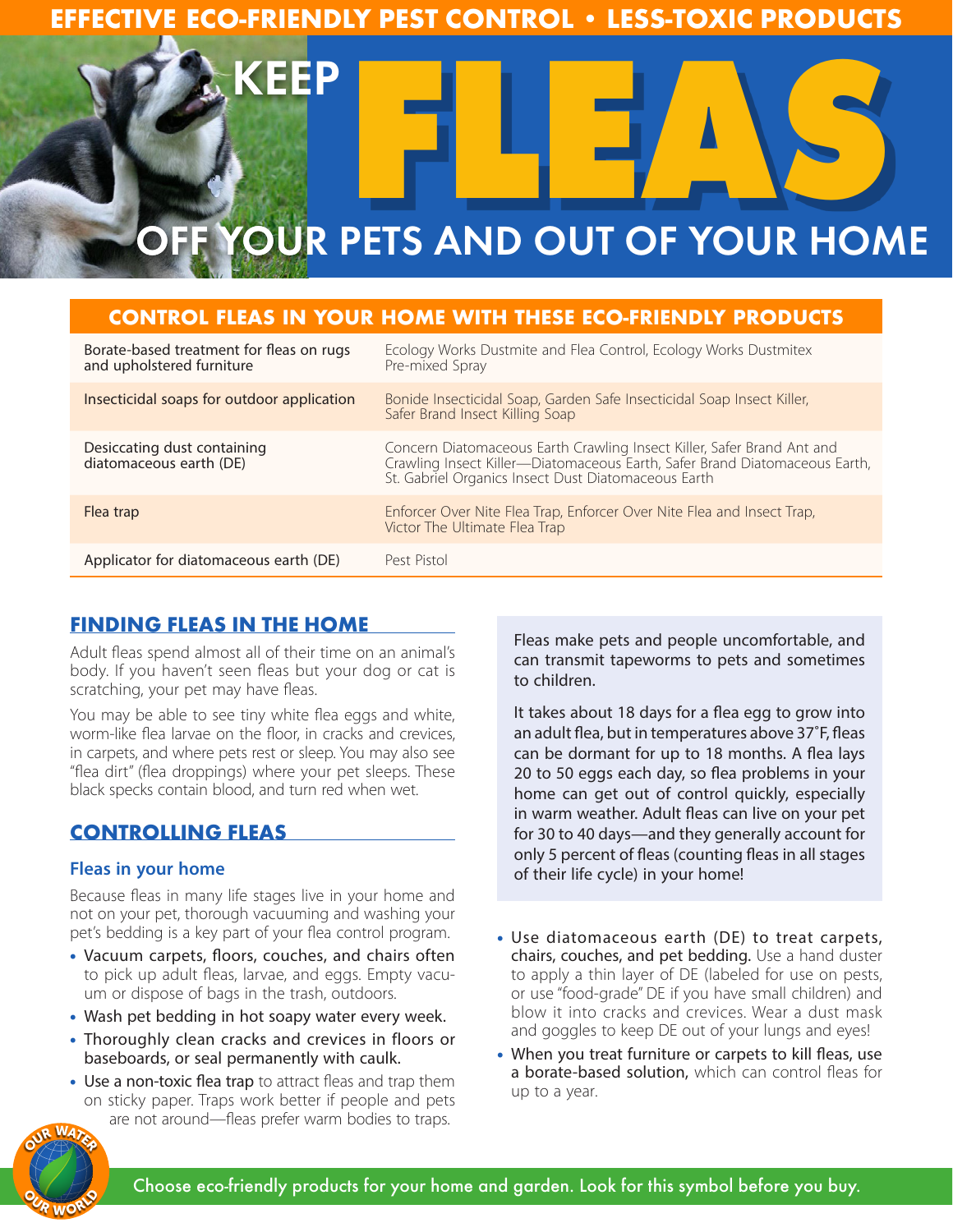

# **CONTROL FLEAS IN YOUR HOME WITH THESE ECO-FRIENDLY PRODUCTS**

| Borate-based treatment for fleas on rugs<br>and upholstered furniture | Ecology Works Dustmite and Flea Control, Ecology Works Dustmitex<br>Pre-mixed Spray                                                                                                                         |
|-----------------------------------------------------------------------|-------------------------------------------------------------------------------------------------------------------------------------------------------------------------------------------------------------|
| Insecticidal soaps for outdoor application                            | Bonide Insecticidal Soap, Garden Safe Insecticidal Soap Insect Killer,<br>Safer Brand Insect Killing Soap                                                                                                   |
| Desiccating dust containing<br>diatomaceous earth (DE)                | Concern Diatomaceous Earth Crawling Insect Killer, Safer Brand Ant and<br>Crawling Insect Killer-Diatomaceous Earth, Safer Brand Diatomaceous Earth,<br>St. Gabriel Organics Insect Dust Diatomaceous Earth |
| Flea trap                                                             | Enforcer Over Nite Flea Trap, Enforcer Over Nite Flea and Insect Trap,<br>Victor The Ultimate Flea Trap                                                                                                     |
| Applicator for diatomaceous earth (DE)                                | Pest Pistol                                                                                                                                                                                                 |

## **FINDING FLEAS IN THE HOME**

Adult fleas spend almost all of their time on an animal's body. If you haven't seen fleas but your dog or cat is scratching, your pet may have fleas.

You may be able to see tiny white flea eggs and white, worm-like flea larvae on the floor, in cracks and crevices, in carpets, and where pets rest or sleep. You may also see "flea dirt" (flea droppings) where your pet sleeps. These black specks contain blood, and turn red when wet.

## **CONTROLLING FLEAS**

### **Fleas in your home**

Because fleas in many life stages live in your home and not on your pet, thorough vacuuming and washing your pet's bedding is a key part of your flea control program.

- Vacuum carpets, floors, couches, and chairs often to pick up adult fleas, larvae, and eggs. Empty vacuum or dispose of bags in the trash, outdoors.
- Wash pet bedding in hot soapy water every week.
- Thoroughly clean cracks and crevices in floors or baseboards, or seal permanently with caulk.
- Use a non-toxic flea trap to attract fleas and trap them on sticky paper. Traps work better if people and pets are not around—fleas prefer warm bodies to traps.

Fleas make pets and people uncomfortable, and can transmit tapeworms to pets and sometimes to children.

It takes about 18 days for a flea egg to grow into an adult flea, but in temperatures above 37˚F, fleas can be dormant for up to 18 months. A flea lays 20 to 50 eggs each day, so flea problems in your home can get out of control quickly, especially in warm weather. Adult fleas can live on your pet for 30 to 40 days—and they generally account for only 5 percent of fleas (counting fleas in all stages of their life cycle) in your home!

- Use diatomaceous earth (DE) to treat carpets, chairs, couches, and pet bedding. Use a hand duster to apply a thin layer of DE (labeled for use on pests, or use "food-grade" DE if you have small children) and blow it into cracks and crevices. Wear a dust mask and goggles to keep DE out of your lungs and eyes!
- When you treat furniture or carpets to kill fleas, use a borate-based solution, which can control fleas for up to a year.